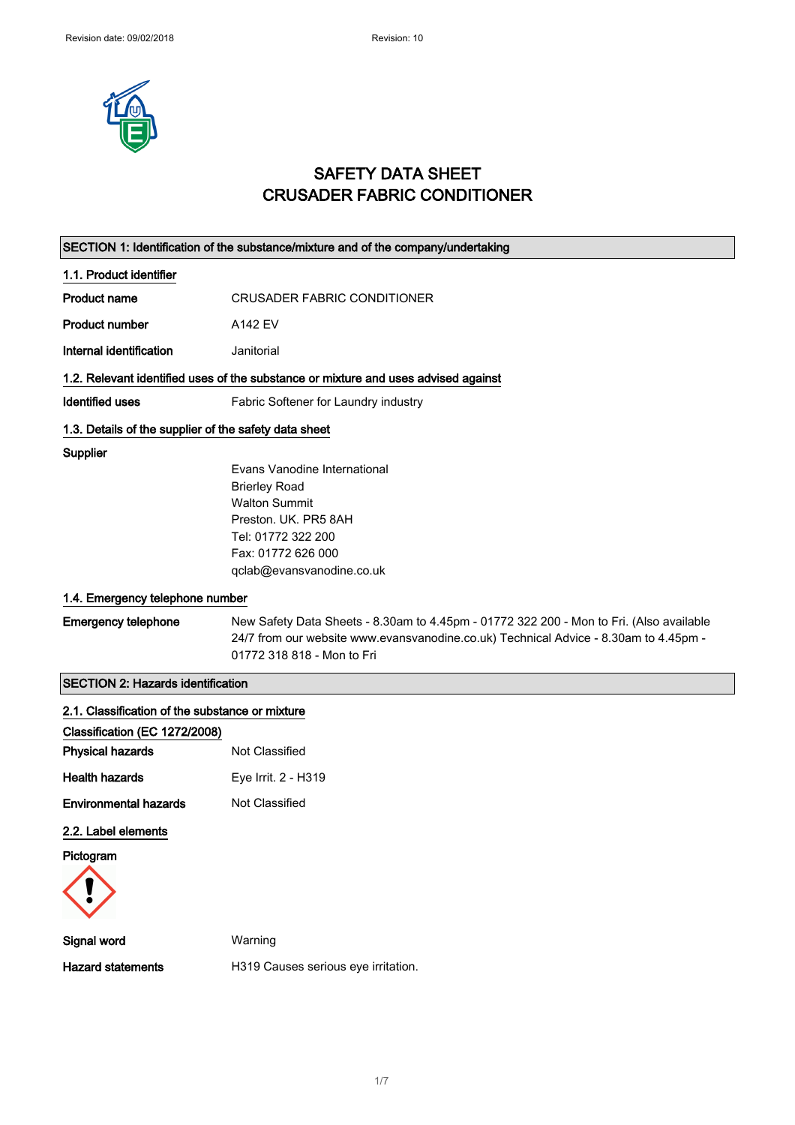

## SAFETY DATA SHEET CRUSADER FABRIC CONDITIONER

|                                                       | SECTION 1: Identification of the substance/mixture and of the company/undertaking                                  |
|-------------------------------------------------------|--------------------------------------------------------------------------------------------------------------------|
| 1.1. Product identifier                               |                                                                                                                    |
| <b>Product name</b>                                   | <b>CRUSADER FABRIC CONDITIONER</b>                                                                                 |
| <b>Product number</b>                                 | A142 EV                                                                                                            |
| Internal identification                               | Janitorial                                                                                                         |
|                                                       | 1.2. Relevant identified uses of the substance or mixture and uses advised against                                 |
| <b>Identified uses</b>                                | Fabric Softener for Laundry industry                                                                               |
| 1.3. Details of the supplier of the safety data sheet |                                                                                                                    |
| <b>Supplier</b>                                       |                                                                                                                    |
|                                                       | Evans Vanodine International                                                                                       |
|                                                       | <b>Brierley Road</b><br><b>Walton Summit</b>                                                                       |
|                                                       | Preston. UK. PR5 8AH                                                                                               |
|                                                       | Tel: 01772 322 200                                                                                                 |
|                                                       | Fax: 01772 626 000                                                                                                 |
|                                                       | qclab@evansvanodine.co.uk                                                                                          |
| 1.4. Emergency telephone number                       |                                                                                                                    |
| <b>Emergency telephone</b>                            | New Safety Data Sheets - 8.30am to 4.45pm - 01772 322 200 - Mon to Fri. (Also available                            |
|                                                       | 24/7 from our website www.evansvanodine.co.uk) Technical Advice - 8.30am to 4.45pm -<br>01772 318 818 - Mon to Fri |
|                                                       |                                                                                                                    |
| <b>SECTION 2: Hazards identification</b>              |                                                                                                                    |
| 2.1. Classification of the substance or mixture       |                                                                                                                    |
| Classification (EC 1272/2008)                         |                                                                                                                    |
| <b>Physical hazards</b>                               | Not Classified                                                                                                     |
| <b>Health hazards</b>                                 | Eye Irrit. 2 - H319                                                                                                |
| <b>Environmental hazards</b>                          | Not Classified                                                                                                     |
| 2.2. Label elements                                   |                                                                                                                    |
| Pictogram                                             |                                                                                                                    |
|                                                       |                                                                                                                    |
|                                                       |                                                                                                                    |
| Signal word                                           | Warning                                                                                                            |
| <b>Hazard statements</b>                              | H319 Causes serious eye irritation.                                                                                |
|                                                       |                                                                                                                    |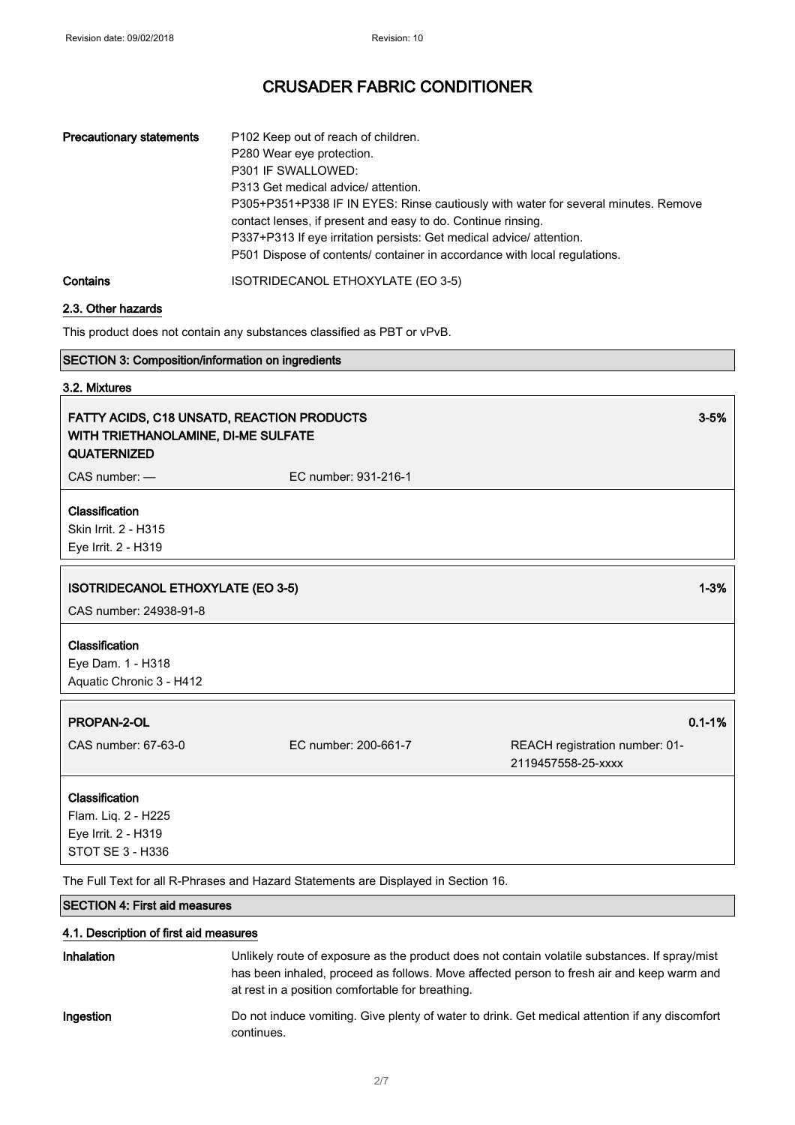| <b>Precautionary statements</b> | P102 Keep out of reach of children.<br>P280 Wear eye protection.<br>P301 IF SWALLOWED:<br>P313 Get medical advice/ attention.<br>P305+P351+P338 IF IN EYES: Rinse cautiously with water for several minutes. Remove<br>contact lenses, if present and easy to do. Continue rinsing.<br>P337+P313 If eye irritation persists: Get medical advice/ attention.<br>P501 Dispose of contents/ container in accordance with local regulations. |
|---------------------------------|------------------------------------------------------------------------------------------------------------------------------------------------------------------------------------------------------------------------------------------------------------------------------------------------------------------------------------------------------------------------------------------------------------------------------------------|
| Contains                        | ISOTRIDECANOL ETHOXYLATE (EO 3-5)                                                                                                                                                                                                                                                                                                                                                                                                        |

#### 2.3. Other hazards

This product does not contain any substances classified as PBT or vPvB.

|  | <b>SECTION 3: Composition/information on ingredients</b> |  |
|--|----------------------------------------------------------|--|
|--|----------------------------------------------------------|--|

### 3.2. Mixtures

| <b>FATTY ACIDS, C18 UNSATD, REACTION PRODUCTS</b><br>WITH TRIETHANOLAMINE, DI-ME SULFATE<br><b>QUATERNIZED</b> |                      | $3 - 5%$ |
|----------------------------------------------------------------------------------------------------------------|----------------------|----------|
| $CAS$ number: $-$                                                                                              | EC number: 931-216-1 |          |
| <b>Classification</b><br>Skin Irrit. 2 - H315<br>Eye Irrit. 2 - H319                                           |                      |          |
| <b>ISOTRIDECANOL ETHOXYLATE (EO 3-5)</b><br>CAS number: 24938-91-8                                             |                      | $1 - 3%$ |
| <b>Classification</b>                                                                                          |                      |          |

Eye Dam. 1 - H318 Aquatic Chronic 3 - H412

### **PROPAN-2-OL** 2012 2012 2022 2023 2024 2022 2022 2023 2024 2022 2023 2024 2022 2023 2024 2022 2023 2024 2022 202

CAS number: 67-63-0 EC number: 200-661-7 REACH registration number: 01- 2119457558-25-xxxx

#### Classification

Flam. Liq. 2 - H225 Eye Irrit. 2 - H319 STOT SE 3 - H336

The Full Text for all R-Phrases and Hazard Statements are Displayed in Section 16.

### SECTION 4: First aid measures

#### 4.1. Description of first aid measures

| <b>Inhalation</b> | Unlikely route of exposure as the product does not contain volatile substances. If spray/mist<br>has been inhaled, proceed as follows. Move affected person to fresh air and keep warm and<br>at rest in a position comfortable for breathing. |
|-------------------|------------------------------------------------------------------------------------------------------------------------------------------------------------------------------------------------------------------------------------------------|
| Ingestion         | Do not induce vomiting. Give plenty of water to drink. Get medical attention if any discomfort<br>continues.                                                                                                                                   |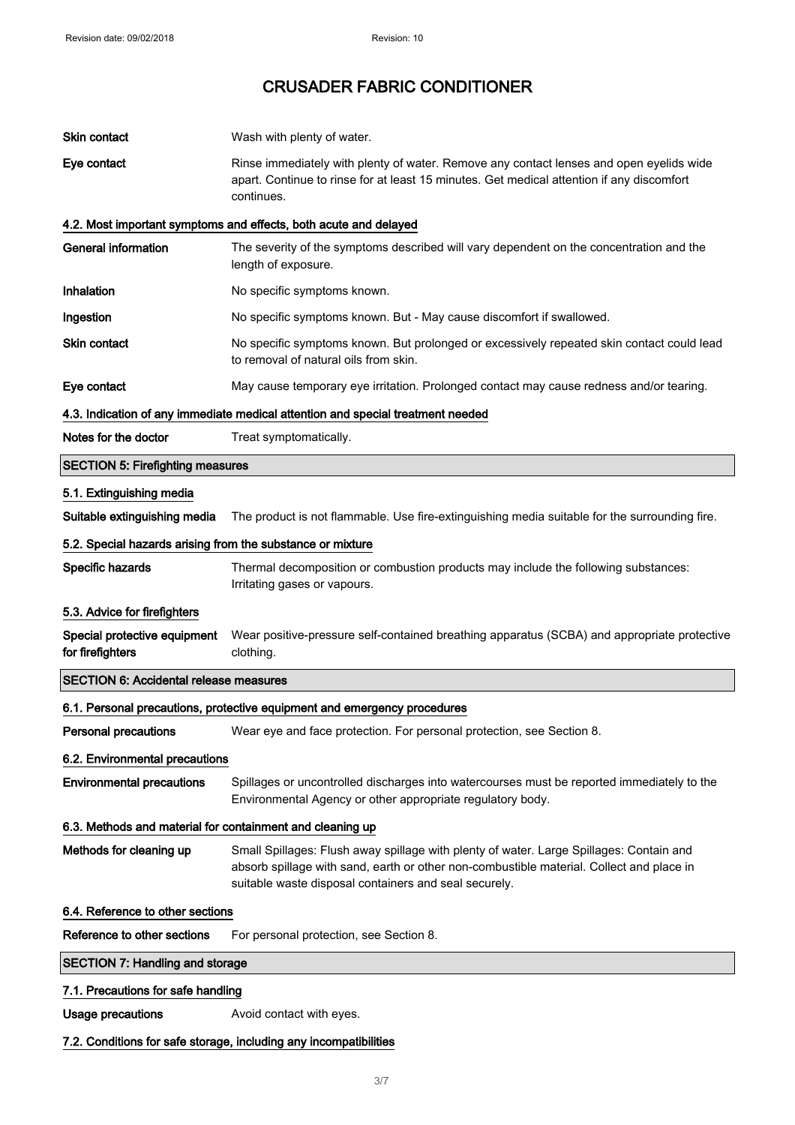| Skin contact                                               | Wash with plenty of water.                                                                                                                                                                                                                   |
|------------------------------------------------------------|----------------------------------------------------------------------------------------------------------------------------------------------------------------------------------------------------------------------------------------------|
| Eye contact                                                | Rinse immediately with plenty of water. Remove any contact lenses and open eyelids wide<br>apart. Continue to rinse for at least 15 minutes. Get medical attention if any discomfort<br>continues.                                           |
|                                                            | 4.2. Most important symptoms and effects, both acute and delayed                                                                                                                                                                             |
| <b>General information</b>                                 | The severity of the symptoms described will vary dependent on the concentration and the<br>length of exposure.                                                                                                                               |
| Inhalation                                                 | No specific symptoms known.                                                                                                                                                                                                                  |
| Ingestion                                                  | No specific symptoms known. But - May cause discomfort if swallowed.                                                                                                                                                                         |
| Skin contact                                               | No specific symptoms known. But prolonged or excessively repeated skin contact could lead<br>to removal of natural oils from skin.                                                                                                           |
| Eye contact                                                | May cause temporary eye irritation. Prolonged contact may cause redness and/or tearing.                                                                                                                                                      |
|                                                            | 4.3. Indication of any immediate medical attention and special treatment needed                                                                                                                                                              |
| Notes for the doctor                                       | Treat symptomatically.                                                                                                                                                                                                                       |
| <b>SECTION 5: Firefighting measures</b>                    |                                                                                                                                                                                                                                              |
| 5.1. Extinguishing media                                   |                                                                                                                                                                                                                                              |
| Suitable extinguishing media                               | The product is not flammable. Use fire-extinguishing media suitable for the surrounding fire.                                                                                                                                                |
| 5.2. Special hazards arising from the substance or mixture |                                                                                                                                                                                                                                              |
| Specific hazards                                           | Thermal decomposition or combustion products may include the following substances:<br>Irritating gases or vapours.                                                                                                                           |
| 5.3. Advice for firefighters                               |                                                                                                                                                                                                                                              |
| Special protective equipment<br>for firefighters           | Wear positive-pressure self-contained breathing apparatus (SCBA) and appropriate protective<br>clothing.                                                                                                                                     |
| <b>SECTION 6: Accidental release measures</b>              |                                                                                                                                                                                                                                              |
|                                                            | 6.1. Personal precautions, protective equipment and emergency procedures                                                                                                                                                                     |
| <b>Personal precautions</b>                                | Wear eye and face protection. For personal protection, see Section 8.                                                                                                                                                                        |
| 6.2. Environmental precautions                             |                                                                                                                                                                                                                                              |
| <b>Environmental precautions</b>                           | Spillages or uncontrolled discharges into watercourses must be reported immediately to the<br>Environmental Agency or other appropriate regulatory body.                                                                                     |
| 6.3. Methods and material for containment and cleaning up  |                                                                                                                                                                                                                                              |
| Methods for cleaning up                                    | Small Spillages: Flush away spillage with plenty of water. Large Spillages: Contain and<br>absorb spillage with sand, earth or other non-combustible material. Collect and place in<br>suitable waste disposal containers and seal securely. |
| 6.4. Reference to other sections                           |                                                                                                                                                                                                                                              |
| Reference to other sections                                | For personal protection, see Section 8.                                                                                                                                                                                                      |
| <b>SECTION 7: Handling and storage</b>                     |                                                                                                                                                                                                                                              |
| 7.1. Precautions for safe handling                         |                                                                                                                                                                                                                                              |
| <b>Usage precautions</b>                                   | Avoid contact with eyes.                                                                                                                                                                                                                     |
|                                                            | 7.2. Conditions for safe storage, including any incompatibilities                                                                                                                                                                            |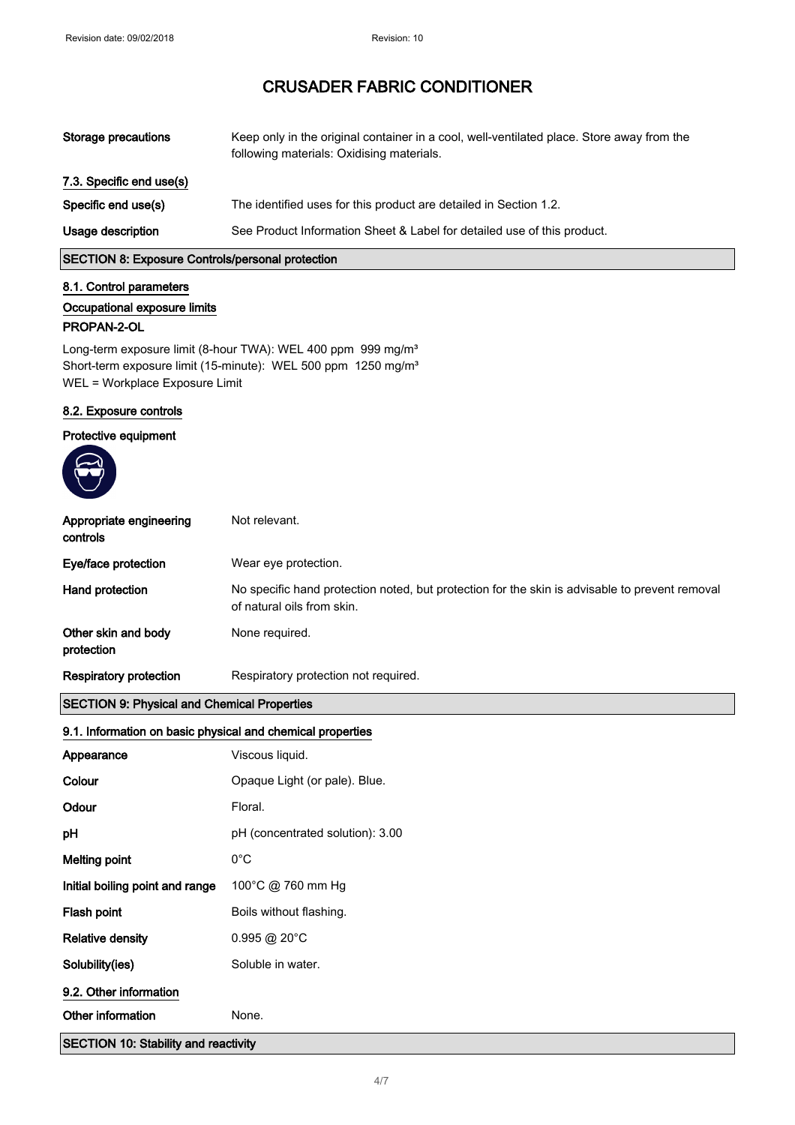| Storage precautions      | Keep only in the original container in a cool, well-ventilated place. Store away from the<br>following materials: Oxidising materials. |
|--------------------------|----------------------------------------------------------------------------------------------------------------------------------------|
| 7.3. Specific end use(s) |                                                                                                                                        |
| Specific end use(s)      | The identified uses for this product are detailed in Section 1.2.                                                                      |
| Usage description        | See Product Information Sheet & Label for detailed use of this product.                                                                |

SECTION 8: Exposure Controls/personal protection

#### 8.1. Control parameters

#### Occupational exposure limits

#### PROPAN-2-OL

Long-term exposure limit (8-hour TWA): WEL 400 ppm 999 mg/m<sup>3</sup> Short-term exposure limit (15-minute): WEL 500 ppm 1250 mg/m<sup>3</sup> WEL = Workplace Exposure Limit

#### 8.2. Exposure controls

#### Protective equipment



| Appropriate engineering<br>controls                        | Not relevant.                                                                                                                |  |
|------------------------------------------------------------|------------------------------------------------------------------------------------------------------------------------------|--|
| Eye/face protection                                        | Wear eye protection.                                                                                                         |  |
| Hand protection                                            | No specific hand protection noted, but protection for the skin is advisable to prevent removal<br>of natural oils from skin. |  |
| Other skin and body<br>protection                          | None required.                                                                                                               |  |
| <b>Respiratory protection</b>                              | Respiratory protection not required.                                                                                         |  |
| <b>SECTION 9: Physical and Chemical Properties</b>         |                                                                                                                              |  |
| 9.1. Information on basic physical and chemical properties |                                                                                                                              |  |
| Appearance                                                 | Viscous liquid.                                                                                                              |  |
| Colour                                                     | Opaque Light (or pale). Blue.                                                                                                |  |
| Odour                                                      | Floral.                                                                                                                      |  |
| рH                                                         | pH (concentrated solution): 3.00                                                                                             |  |
| <b>Melting point</b>                                       | $0^{\circ}$ C                                                                                                                |  |
| Initial boiling point and range                            | 100°C @ 760 mm Hg                                                                                                            |  |
| Flash point                                                | Boils without flashing.                                                                                                      |  |
| <b>Relative density</b>                                    | $0.995 @ 20^{\circ}$ C                                                                                                       |  |

SECTION 10: Stability and reactivity

4/ 7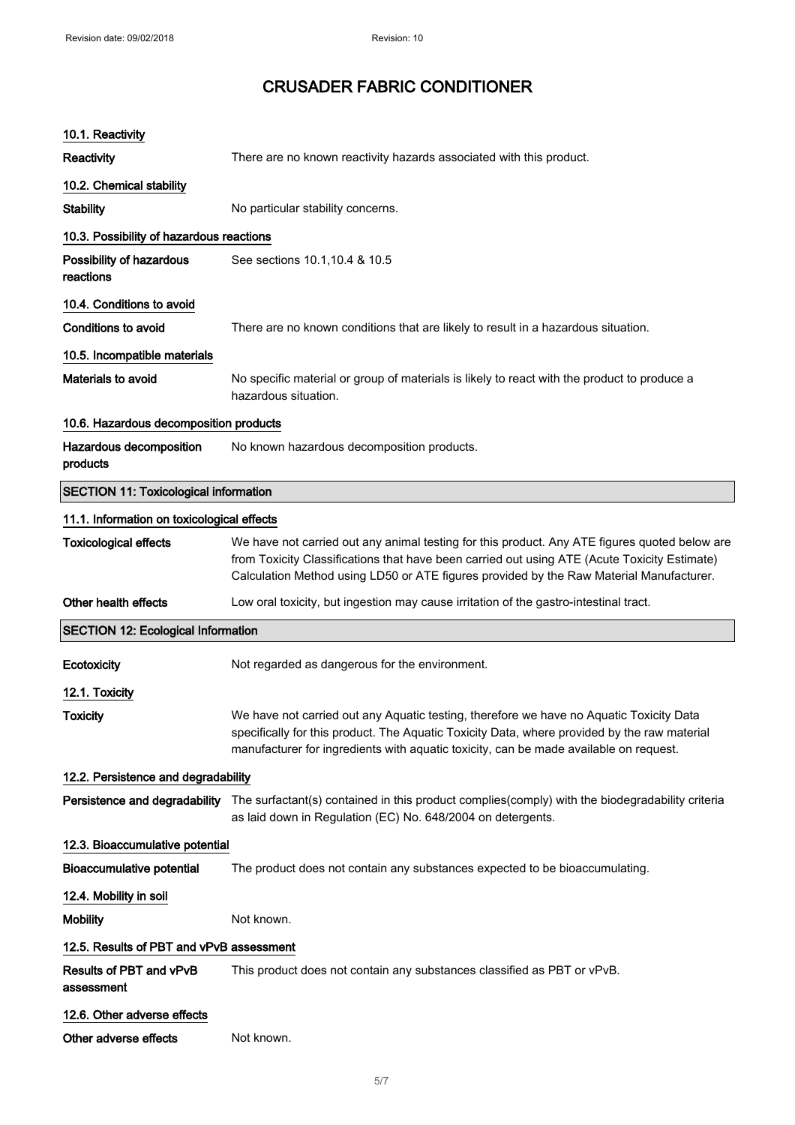| 10.1. Reactivity                             |                                                                                                                                                                                                                                                                                          |
|----------------------------------------------|------------------------------------------------------------------------------------------------------------------------------------------------------------------------------------------------------------------------------------------------------------------------------------------|
| Reactivity                                   | There are no known reactivity hazards associated with this product.                                                                                                                                                                                                                      |
| 10.2. Chemical stability                     |                                                                                                                                                                                                                                                                                          |
| <b>Stability</b>                             | No particular stability concerns.                                                                                                                                                                                                                                                        |
| 10.3. Possibility of hazardous reactions     |                                                                                                                                                                                                                                                                                          |
| Possibility of hazardous<br>reactions        | See sections 10.1, 10.4 & 10.5                                                                                                                                                                                                                                                           |
| 10.4. Conditions to avoid                    |                                                                                                                                                                                                                                                                                          |
| Conditions to avoid                          | There are no known conditions that are likely to result in a hazardous situation.                                                                                                                                                                                                        |
| 10.5. Incompatible materials                 |                                                                                                                                                                                                                                                                                          |
| Materials to avoid                           | No specific material or group of materials is likely to react with the product to produce a<br>hazardous situation.                                                                                                                                                                      |
| 10.6. Hazardous decomposition products       |                                                                                                                                                                                                                                                                                          |
| Hazardous decomposition<br>products          | No known hazardous decomposition products.                                                                                                                                                                                                                                               |
| <b>SECTION 11: Toxicological information</b> |                                                                                                                                                                                                                                                                                          |
| 11.1. Information on toxicological effects   |                                                                                                                                                                                                                                                                                          |
| <b>Toxicological effects</b>                 | We have not carried out any animal testing for this product. Any ATE figures quoted below are<br>from Toxicity Classifications that have been carried out using ATE (Acute Toxicity Estimate)<br>Calculation Method using LD50 or ATE figures provided by the Raw Material Manufacturer. |
| Other health effects                         | Low oral toxicity, but ingestion may cause irritation of the gastro-intestinal tract.                                                                                                                                                                                                    |
| <b>SECTION 12: Ecological Information</b>    |                                                                                                                                                                                                                                                                                          |
| Ecotoxicity                                  | Not regarded as dangerous for the environment.                                                                                                                                                                                                                                           |
| 12.1. Toxicity                               |                                                                                                                                                                                                                                                                                          |
| Toxicity                                     | We have not carried out any Aquatic testing, therefore we have no Aquatic Toxicity Data<br>specifically for this product. The Aquatic Toxicity Data, where provided by the raw material<br>manufacturer for ingredients with aquatic toxicity, can be made available on request.         |
| 12.2. Persistence and degradability          |                                                                                                                                                                                                                                                                                          |
|                                              | Persistence and degradability The surfactant(s) contained in this product complies(comply) with the biodegradability criteria<br>as laid down in Regulation (EC) No. 648/2004 on detergents.                                                                                             |
| 12.3. Bioaccumulative potential              |                                                                                                                                                                                                                                                                                          |
| <b>Bioaccumulative potential</b>             | The product does not contain any substances expected to be bioaccumulating.                                                                                                                                                                                                              |
| 12.4. Mobility in soil                       |                                                                                                                                                                                                                                                                                          |
| <b>Mobility</b>                              | Not known.                                                                                                                                                                                                                                                                               |
| 12.5. Results of PBT and vPvB assessment     |                                                                                                                                                                                                                                                                                          |
| Results of PBT and vPvB<br>assessment        | This product does not contain any substances classified as PBT or vPvB.                                                                                                                                                                                                                  |
| 12.6. Other adverse effects                  |                                                                                                                                                                                                                                                                                          |
| Other adverse effects                        | Not known.                                                                                                                                                                                                                                                                               |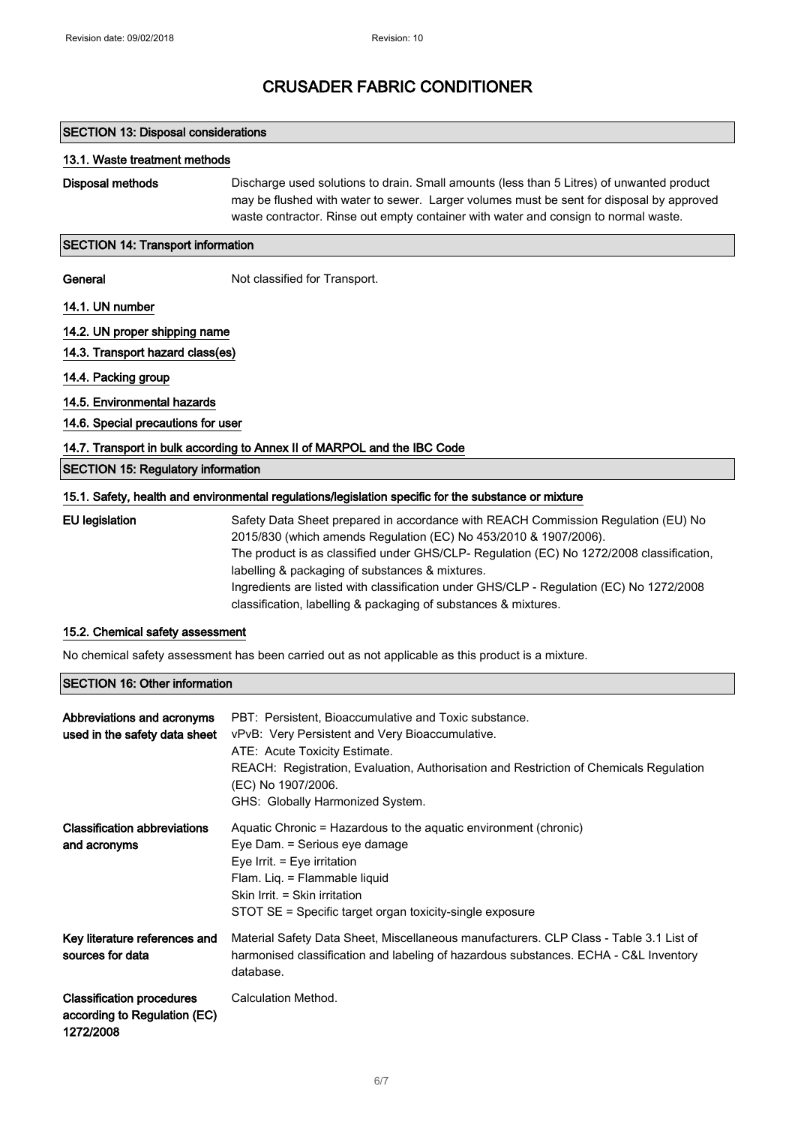#### SECTION 13: Disposal considerations

#### 13.1. Waste treatment methods

Disposal methods Discharge used solutions to drain. Small amounts (less than 5 Litres) of unwanted product may be flushed with water to sewer. Larger volumes must be sent for disposal by approved waste contractor. Rinse out empty container with water and consign to normal waste.

#### SECTION 14: Transport information

General Not classified for Transport.

14.1. UN number

#### 14.2. UN proper shipping name

- 14.3. Transport hazard class(es)
- 14.4. Packing group
- 14.5. Environmental hazards
- 14.6. Special precautions for user

#### 14.7. Transport in bulk according to Annex II of MARPOL and the IBC Code

#### SECTION 15: Regulatory information

#### 15.1. Safety, health and environmental regulations/legislation specific for the substance or mixture

EU legislation Safety Data Sheet prepared in accordance with REACH Commission Regulation (EU) No 2015/830 (which amends Regulation (EC) No 453/2010 & 1907/2006). The product is as classified under GHS/CLP- Regulation (EC) No 1272/2008 classification, labelling & packaging of substances & mixtures. Ingredients are listed with classification under GHS/CLP - Regulation (EC) No 1272/2008 classification, labelling & packaging of substances & mixtures.

#### 15.2. Chemical safety assessment

No chemical safety assessment has been carried out as not applicable as this product is a mixture.

#### SECTION 16: Other information

| Abbreviations and acronyms<br>used in the safety data sheet                   | PBT: Persistent, Bioaccumulative and Toxic substance.<br>vPvB: Very Persistent and Very Bioaccumulative.<br>ATE: Acute Toxicity Estimate.<br>REACH: Registration, Evaluation, Authorisation and Restriction of Chemicals Regulation<br>(EC) No 1907/2006.<br>GHS: Globally Harmonized System. |
|-------------------------------------------------------------------------------|-----------------------------------------------------------------------------------------------------------------------------------------------------------------------------------------------------------------------------------------------------------------------------------------------|
| <b>Classification abbreviations</b><br>and acronyms                           | Aquatic Chronic = Hazardous to the aquatic environment (chronic)<br>Eye Dam. = Serious eye damage<br>Eye Irrit. $=$ Eye irritation<br>Flam. Lig. = Flammable liquid<br>Skin Irrit. = Skin irritation<br>STOT SE = Specific target organ toxicity-single exposure                              |
| Key literature references and<br>sources for data                             | Material Safety Data Sheet, Miscellaneous manufacturers. CLP Class - Table 3.1 List of<br>harmonised classification and labeling of hazardous substances. ECHA - C&L Inventory<br>database.                                                                                                   |
| <b>Classification procedures</b><br>according to Regulation (EC)<br>1272/2008 | Calculation Method.                                                                                                                                                                                                                                                                           |